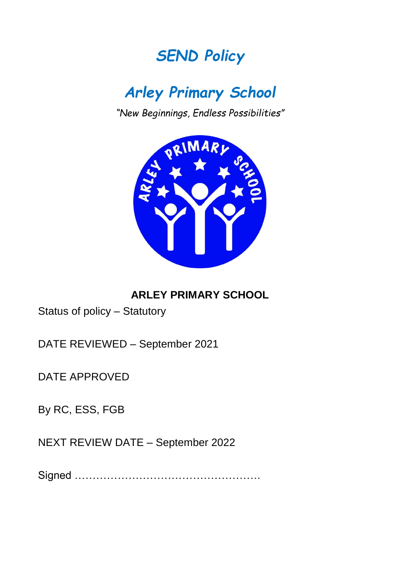## *SEND Policy*

# *Arley Primary School*

*"New Beginnings, Endless Possibilities"*



### **ARLEY PRIMARY SCHOOL**

Status of policy – Statutory

DATE REVIEWED – September 2021

DATE APPROVED

By RC, ESS, FGB

NEXT REVIEW DATE – September 2022

Signed …………………………………………….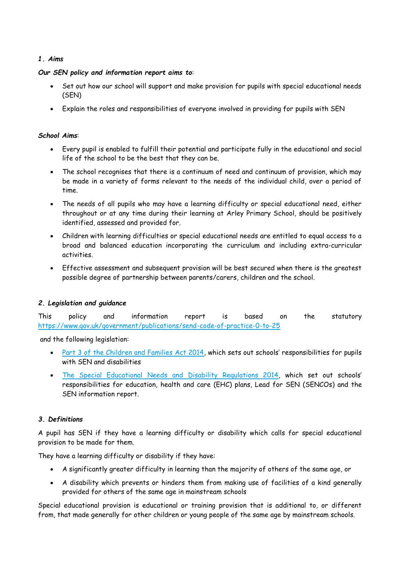#### *1. Aims*

#### *Our SEN policy and information report aims to*:

- Set out how our school will support and make provision for pupils with special educational needs (SEN)
- Explain the roles and responsibilities of everyone involved in providing for pupils with SEN

#### *School Aims*:

- Every pupil is enabled to fulfill their potential and participate fully in the educational and social life of the school to be the best that they can be.
- The school recognises that there is a continuum of need and continuum of provision, which may be made in a variety of forms relevant to the needs of the individual child, over a period of time.
- The needs of all pupils who may have a learning difficulty or special educational need, either throughout or at any time during their learning at Arley Primary School, should be positively identified, assessed and provided for.
- Children with learning difficulties or special educational needs are entitled to equal access to a broad and balanced education incorporating the curriculum and including extra-curricular activities.
- Effective assessment and subsequent provision will be best secured when there is the greatest possible degree of partnership between parents/carers, children and the school.

#### *2. Legislation and guidance*

This policy and information report is based on the statutory <https://www.gov.uk/government/publications/send-code-of-practice-0-to-25>

and the following legislation:

- [Part 3 of the Children and Families Act 2014](http://www.legislation.gov.uk/ukpga/2014/6/part/3), which sets out schools' responsibilities for pupils with SEN and disabilities
- [The Special Educational Needs and Disability Regulations 2014,](http://www.legislation.gov.uk/uksi/2014/1530/contents/made) which set out schools' responsibilities for education, health and care (EHC) plans, Lead for SEN (SENCOs) and the SEN information report.

#### *3. Definitions*

A pupil has SEN if they have a learning difficulty or disability which calls for special educational provision to be made for them.

They have a learning difficulty or disability if they have:

- A significantly greater difficulty in learning than the majority of others of the same age, or
- A disability which prevents or hinders them from making use of facilities of a kind generally provided for others of the same age in mainstream schools

Special educational provision is educational or training provision that is additional to, or different from, that made generally for other children or young people of the same age by mainstream schools.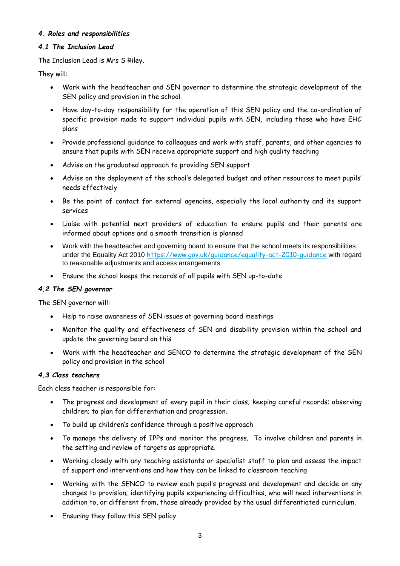#### *4. Roles and responsibilities*

#### *4.1 The Inclusion Lead*

The Inclusion Lead is Mrs S Riley.

They will:

- Work with the headteacher and SEN governor to determine the strategic development of the SEN policy and provision in the school
- Have day-to-day responsibility for the operation of this SEN policy and the co-ordination of specific provision made to support individual pupils with SEN, including those who have EHC plans
- Provide professional guidance to colleagues and work with staff, parents, and other agencies to ensure that pupils with SEN receive appropriate support and high quality teaching
- Advise on the graduated approach to providing SEN support
- Advise on the deployment of the school's delegated budget and other resources to meet pupils' needs effectively
- Be the point of contact for external agencies, especially the local authority and its support services
- Liaise with potential next providers of education to ensure pupils and their parents are informed about options and a smooth transition is planned
- Work with the headteacher and governing board to ensure that the school meets its responsibilities under the Equality Act 2010 <https://www.gov.uk/guidance/equality-act-2010-guidance> with regard to reasonable adjustments and access arrangements
- Ensure the school keeps the records of all pupils with SEN up-to-date

#### *4.2 The SEN governor*

The SEN governor will:

- Help to raise awareness of SEN issues at governing board meetings
- Monitor the quality and effectiveness of SEN and disability provision within the school and update the governing board on this
- Work with the headteacher and SENCO to determine the strategic development of the SEN policy and provision in the school

#### *4.3 Class teachers*

Each class teacher is responsible for:

- The progress and development of every pupil in their class; keeping careful records; observing children; to plan for differentiation and progression.
- To build up children's confidence through a positive approach
- To manage the delivery of IPPs and monitor the progress. To involve children and parents in the setting and review of targets as appropriate.
- Working closely with any teaching assistants or specialist staff to plan and assess the impact of support and interventions and how they can be linked to classroom teaching
- Working with the SENCO to review each pupil's progress and development and decide on any changes to provision; identifying pupils experiencing difficulties, who will need interventions in addition to, or different from, those already provided by the usual differentiated curriculum.
- Ensuring they follow this SEN policy